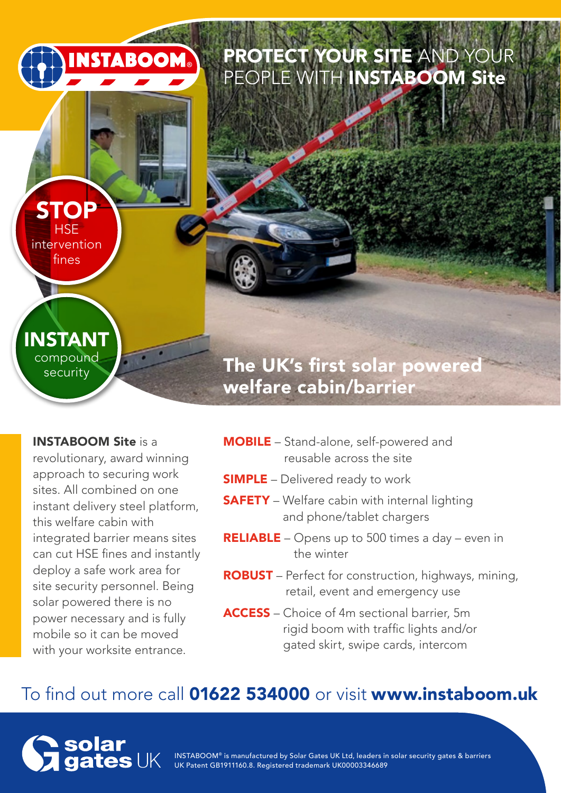# PROTECT YOUR SITE AND YOUR PEOPLE WITH **INSTABOOM Site**

INSTABOOM Site is a

INSTANT compound security

**STOP HSE** intervention fines

**INSTABOOM** 

revolutionary, award winning approach to securing work sites. All combined on one instant delivery steel platform, this welfare cabin with integrated barrier means sites can cut HSE fines and instantly deploy a safe work area for site security personnel. Being solar powered there is no power necessary and is fully mobile so it can be moved with your worksite entrance.

MOBILE – Stand-alone, self-powered and reusable across the site

The UK's first solar powered

**SIMPLE** – Delivered ready to work

welfare cabin/barrier

- **SAFETY** Welfare cabin with internal lighting and phone/tablet chargers
- RELIABLE Opens up to 500 times a day even in the winter
- ROBUST Perfect for construction, highways, mining, retail, event and emergency use
- ACCESS Choice of 4m sectional barrier, 5m rigid boom with traffic lights and/or gated skirt, swipe cards, intercom

## To find out more call 01622 534000 or visit www.instaboom.uk



INSTABOOM® is manufactured by Solar Gates UK Ltd, leaders in solar security gates & barriers UK Patent GB1911160.8. Registered trademark UK00003346689